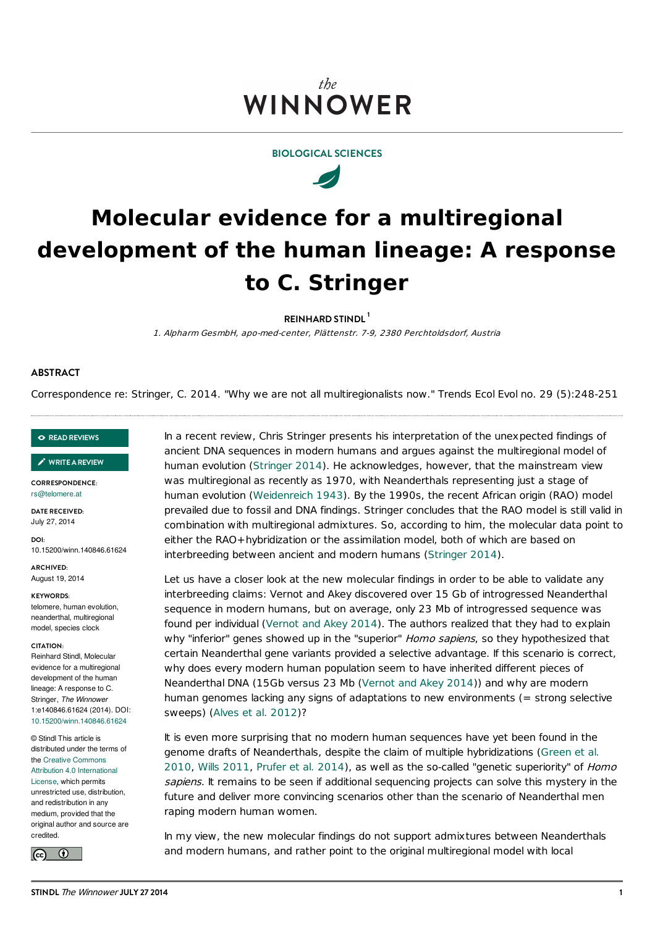# the WINNOWER

**BIOLOGICAL SCIENCES**



# **Molecular evidence for a multiregional development of the human lineage: A response to C. Stringer**

**REINHARD STINDL 1**

1. Alpharm GesmbH, apo-med-center, Plättenstr. 7-9, 2380 Perchtoldsdorf, Austria

## **ABSTRACT**

Correspondence re: Stringer, C. 2014. "Why we are not all multiregionalists now." Trends Ecol Evol no. 29 (5):248-251

#### **READ [REVIEWS](https://thewinnower.com/papers/molecular-evidence-for-a-multiregional-development-of-the-human-lineage-a-response-to-c-stringer?review_it=true)**

**[WRITEAREVIEW](https://thewinnower.com/papers/molecular-evidence-for-a-multiregional-development-of-the-human-lineage-a-response-to-c-stringer?review_it=true)** ✎

**CORRESPONDENCE:** [rs@telomere.at](mailto:rs@telomere.at)

**DATE RECEIVED:** July 27, 2014

**DOI:** 10.15200/winn.140846.61624

**ARCHIVED:** August 19, 2014

#### **KEYWORDS:**

telomere, human evolution, neanderthal, multiregional model, species clock

#### **CITATION:**

Reinhard Stindl, Molecular evidence for a multiregional development of the human lineage: A response to C. Stringer, *The Winnower* 1:e140846.61624 (2014). DOI: [10.15200/winn.140846.61624](http://dx.doi.org/10.15200/winn.140846.61624)

© Stindl This article is distributed under the terms of the Creative Commons Attribution 4.0 [International](http://creativecommons.org/licenses/by/4.0/) License, which permits unrestricted use, distribution, and redistribution in any medium, provided that the original author and source are credited.



In a recent review, Chris Stringer presents his interpretation of the unexpected findings of ancient DNA sequences in modern humans and argues against the multiregional model of human evolution [\(Stringer](#page-2-0) 2014). He acknowledges, however, that the mainstream view was multiregional as recently as 1970, with Neanderthals representing just a stage of human evolution [\(Weidenreich](#page-2-1) 1943). By the 1990s, the recent African origin (RAO) model prevailed due to fossil and DNA findings. Stringer concludes that the RAO model is still valid in combination with multiregional admixtures. So, according to him, the molecular data point to either the RAO+hybridization or the assimilation model, both of which are based on interbreeding between ancient and modern humans [\(Stringer](#page-2-0) 2014).

Let us have a closer look at the new molecular findings in order to be able to validate any interbreeding claims: Vernot and Akey discovered over 15 Gb of introgressed Neanderthal sequence in modern humans, but on average, only 23 Mb of introgressed sequence was found per individual [\(Vernot](#page-2-2) and Akey 2014). The authors realized that they had to explain why "inferior" genes showed up in the "superior" Homo sapiens, so they hypothesized that certain Neanderthal gene variants provided a selective advantage. If this scenario is correct, why does every modern human population seem to have inherited different pieces of Neanderthal DNA (15Gb versus 23 Mb ([Vernot](#page-2-2) and Akey 2014)) and why are modern human genomes lacking any signs of adaptations to new environments (= strong selective sweeps) [\(Alves](#page-1-0) et al. 2012)?

It is even more surprising that no modern human sequences have yet been found in the genome drafts of [Neanderthals,](#page-2-3) despite the claim of multiple hybridizations (Green et al. 2010, Wills [2011](#page-2-4), [Prufer](#page-2-5) et al. 2014), as well as the so-called "genetic superiority" of Homo sapiens. It remains to be seen if additional sequencing projects can solve this mystery in the future and deliver more convincing scenarios other than the scenario of Neanderthal men raping modern human women.

In my view, the new molecular findings do not support admixtures between Neanderthals and modern humans, and rather point to the original multiregional model with local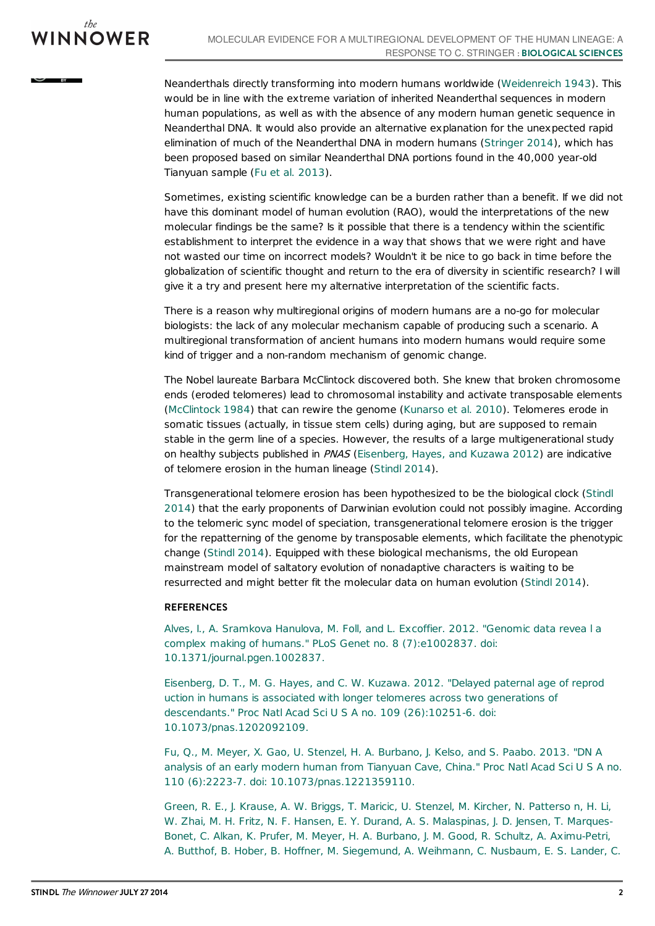$BY$ 

Neanderthals directly transforming into modern humans worldwide [\(Weidenreich](#page-2-1) 1943). This would be in line with the extreme variation of inherited Neanderthal sequences in modern human populations, as well as with the absence of any modern human genetic sequence in Neanderthal DNA. It would also provide an alternative explanation for the unexpected rapid elimination of much of the Neanderthal DNA in modern humans [\(Stringer](#page-2-0) 2014), which has been proposed based on similar Neanderthal DNA portions found in the 40,000 year-old Tianyuan sample (Fu et al. [2013](#page-1-1)).

Sometimes, existing scientific knowledge can be a burden rather than a benefit. If we did not have this dominant model of human evolution (RAO), would the interpretations of the new molecular findings be the same? Is it possible that there is a tendency within the scientific establishment to interpret the evidence in a way that shows that we were right and have not wasted our time on incorrect models? Wouldn't it be nice to go back in time before the globalization of scientific thought and return to the era of diversity in scientific research? I will give it a try and present here my alternative interpretation of the scientific facts.

There is a reason why multiregional origins of modern humans are a no-go for molecular biologists: the lack of any molecular mechanism capable of producing such a scenario. A multiregional transformation of ancient humans into modern humans would require some kind of trigger and a non-random mechanism of genomic change.

The Nobel laureate Barbara McClintock discovered both. She knew that broken chromosome ends (eroded telomeres) lead to chromosomal instability and activate transposable elements [\(McClintock](#page-2-6) 1984) that can rewire the genome [\(Kunarso](#page-2-7) et al. 2010). Telomeres erode in somatic tissues (actually, in tissue stem cells) during aging, but are supposed to remain stable in the germ line of a species. However, the results of a large multigenerational study on healthy subjects published in PNAS [\(Eisenberg,](#page-1-2) Hayes, and Kuzawa 2012) are indicative of telomere erosion in the human lineage [\(Stindl](#page-2-8) 2014).

[Transgenerational](#page-2-8) telomere erosion has been hypothesized to be the biological clock (Stindl 2014) that the early proponents of Darwinian evolution could not possibly imagine. According to the telomeric sync model of speciation, transgenerational telomere erosion is the trigger for the repatterning of the genome by transposable elements, which facilitate the phenotypic change [\(Stindl](#page-2-8) 2014). Equipped with these biological mechanisms, the old European mainstream model of saltatory evolution of nonadaptive characters is waiting to be resurrected and might better fit the molecular data on human evolution ([Stindl](#page-2-8) 2014).

## **REFERENCES**

<span id="page-1-0"></span>Alves, I., A. Sramkova Hanulova, M. Foll, and L. Excoffier. 2012. "Genomic data revea l a complex making of humans." PLoS Genet no. 8 (7):e1002837. doi: [10.1371/journal.pgen.1002837.](http://dx.doi.org/10.1371/journal.pgen.1002837)

<span id="page-1-2"></span>Eisenberg, D. T., M. G. Hayes, and C. W. Kuzawa. 2012. "Delayed paternal age of reprod uction in humans is associated with longer telomeres across two generations of descendants." Proc Natl Acad Sci U S A no. 109 (26):10251-6. doi: [10.1073/pnas.1202092109.](http://dx.doi.org/10.1073/pnas.1202092109)

<span id="page-1-1"></span>Fu, Q., M. Meyer, X. Gao, U. Stenzel, H. A. Burbano, J. Kelso, and S. Paabo. 2013. "DN A analysis of an early modern human from Tianyuan Cave, China." Proc Natl Acad Sci U S A no. 110 (6):2223-7. doi: [10.1073/pnas.1221359110.](http://dx.doi.org/10.1073/pnas.1221359110)

Green, R. E., J. Krause, A. W. Briggs, T. Maricic, U. Stenzel, M. Kircher, N. Patterso n, H. Li, W. Zhai, M. H. Fritz, N. F. Hansen, E. Y. Durand, A. S. Malaspinas, J. D. Jensen, T. Marques-Bonet, C. Alkan, K. Prufer, M. Meyer, H. A. Burbano, J. M. Good, R. Schultz, A. Aximu-Petri, A. Butthof, B. Hober, B. Hoffner, M. Siegemund, A. Weihmann, C. Nusbaum, E. S. Lander, C.